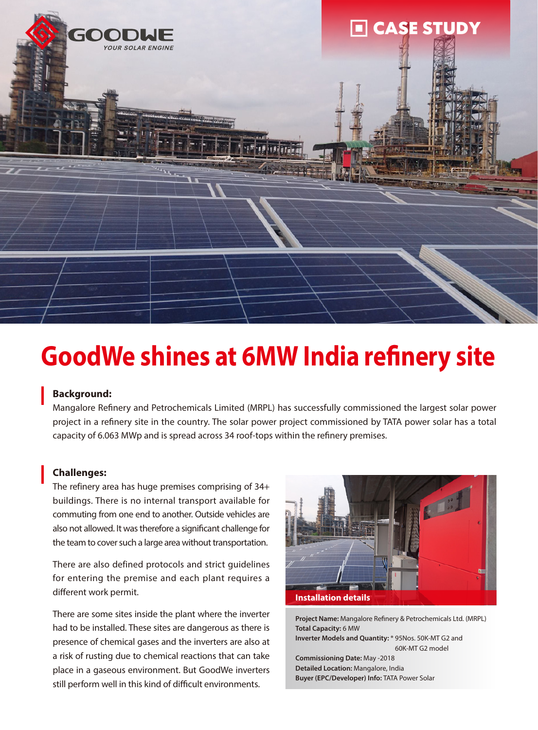

# **GoodWe shines at 6MW India refinery site**

#### **Background:**

Mangalore Refinery and Petrochemicals Limited (MRPL) has successfully commissioned the largest solar power project in a refinery site in the country. The solar power project commissioned by TATA power solar has a total capacity of 6.063 MWp and is spread across 34 roof-tops within the refinery premises.

#### **Challenges:**

The refinery area has huge premises comprising of 34+ buildings. There is no internal transport available for commuting from one end to another. Outside vehicles are also not allowed. It was therefore a significant challenge for the team to cover such a large area without transportation.

There are also defined protocols and strict guidelines for entering the premise and each plant requires a different work permit.

There are some sites inside the plant where the inverter had to be installed. These sites are dangerous as there is presence of chemical gases and the inverters are also at a risk of rusting due to chemical reactions that can take place in a gaseous environment. But GoodWe inverters still perform well in this kind of difficult environments.



**Project Name:** Mangalore Refinery & Petrochemicals Ltd. (MRPL) **Total Capacity:** 6 MW **Inverter Models and Quantity:** \* 95Nos. 50K-MT G2 and 60K-MT G2 model **Commissioning Date:** May -2018 **Detailed Location:** Mangalore, India **Buyer (EPC/Developer) Info:** TATA Power Solar